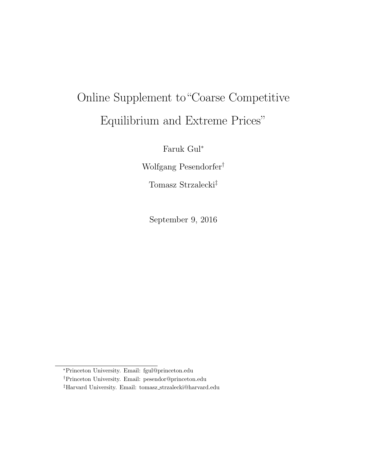# Online Supplement to"Coarse Competitive Equilibrium and Extreme Prices"

Faruk Gul<sup>∗</sup>

Wolfgang Pesendorfer†

Tomasz Strzalecki‡

September 9, 2016

<sup>∗</sup>Princeton University. Email: fgul@princeton.edu

<sup>†</sup>Princeton University. Email: pesendor@princeton.edu

<sup>‡</sup>Harvard University. Email: tomasz strzalecki@harvard.edu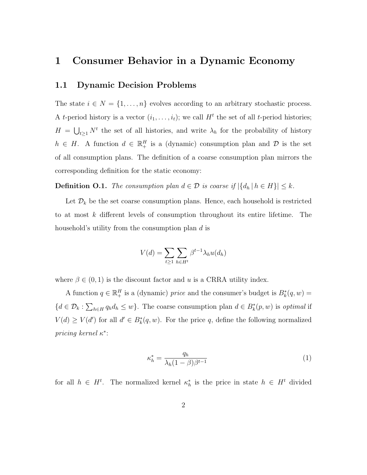### 1 Consumer Behavior in a Dynamic Economy

#### 1.1 Dynamic Decision Problems

The state  $i \in N = \{1, \ldots, n\}$  evolves according to an arbitrary stochastic process. A *t*-period history is a vector  $(i_1, \ldots, i_t)$ ; we call  $H^t$  the set of all *t*-period histories;  $H = \bigcup_{t \geq 1} N^t$  the set of all histories, and write  $\lambda_h$  for the probability of history  $h \in H$ . A function  $d \in \mathbb{R}^H_+$  is a (dynamic) consumption plan and  $\mathcal D$  is the set of all consumption plans. The definition of a coarse consumption plan mirrors the corresponding definition for the static economy:

**Definition O.1.** The consumption plan  $d \in \mathcal{D}$  is coarse if  $|\{d_h | h \in H\}| \leq k$ .

Let  $\mathcal{D}_k$  be the set coarse consumption plans. Hence, each household is restricted to at most k different levels of consumption throughout its entire lifetime. The household's utility from the consumption plan d is

$$
V(d) = \sum_{t \ge 1} \sum_{h \in H^t} \beta^{t-1} \lambda_h u(d_h)
$$

where  $\beta \in (0, 1)$  is the discount factor and u is a CRRA utility index.

A function  $q \in \mathbb{R}^H_+$  is a (dynamic) *price* and the consumer's budget is  $B^*_k(q, w) =$  ${d \in \mathcal{D}_k : \sum_{h \in H} q_h d_h \leq w}$ . The coarse consumption plan  $d \in B_k^*(p, w)$  is optimal if  $V(d) \geq V(d')$  for all  $d' \in B_k^*(q, w)$ . For the price q, define the following normalized pricing kernel κ<sup>\*</sup>:

$$
\kappa_h^* = \frac{q_h}{\lambda_h (1 - \beta)\beta^{t-1}}\tag{1}
$$

for all  $h \in H^t$ . The normalized kernel  $\kappa_h^*$  is the price in state  $h \in H^t$  divided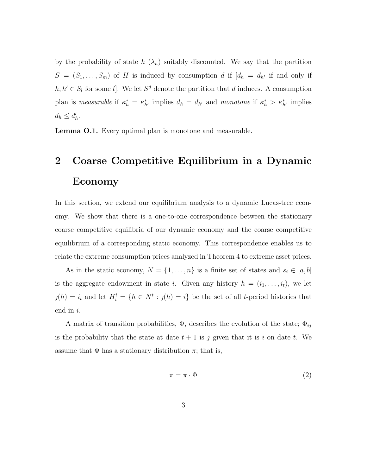by the probability of state h  $(\lambda_h)$  suitably discounted. We say that the partition  $S = (S_1, \ldots, S_m)$  of H is induced by consumption d if  $[d_h = d_{h'}]$  if and only if  $h, h' \in S_l$  for some *l*]. We let  $S^d$  denote the partition that d induces. A consumption plan is measurable if  $\kappa_h^* = \kappa_{h'}^*$  implies  $d_h = d_{h'}$  and monotone if  $\kappa_h^* > \kappa_{h'}^*$  implies  $d_h \leq d'_h.$ 

<span id="page-2-0"></span>Lemma O.1. Every optimal plan is monotone and measurable.

## 2 Coarse Competitive Equilibrium in a Dynamic Economy

In this section, we extend our equilibrium analysis to a dynamic Lucas-tree economy. We show that there is a one-to-one correspondence between the stationary coarse competitive equilibria of our dynamic economy and the coarse competitive equilibrium of a corresponding static economy. This correspondence enables us to relate the extreme consumption prices analyzed in Theorem 4 to extreme asset prices.

As in the static economy,  $N = \{1, \ldots, n\}$  is a finite set of states and  $s_i \in [a, b]$ is the aggregate endowment in state *i*. Given any history  $h = (i_1, \ldots, i_t)$ , we let  $j(h) = i_t$  and let  $H_i^t = \{h \in N^t : j(h) = i\}$  be the set of all t-period histories that end in i.

A matrix of transition probabilities,  $\Phi$ , describes the evolution of the state;  $\Phi_{ij}$ is the probability that the state at date  $t + 1$  is j given that it is i on date t. We assume that  $\Phi$  has a stationary distribution  $\pi$ ; that is,

$$
\pi = \pi \cdot \Phi \tag{2}
$$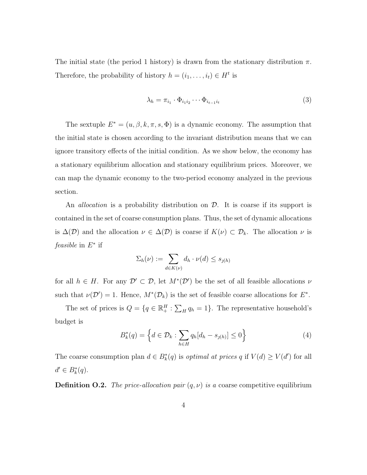The initial state (the period 1 history) is drawn from the stationary distribution  $\pi$ . Therefore, the probability of history  $h = (i_1, \ldots, i_t) \in H^t$  is

$$
\lambda_h = \pi_{i_1} \cdot \Phi_{i_1 i_2} \cdots \Phi_{i_{t-1} i_t} \tag{3}
$$

The sextuple  $E^* = (u, \beta, k, \pi, s, \Phi)$  is a dynamic economy. The assumption that the initial state is chosen according to the invariant distribution means that we can ignore transitory effects of the initial condition. As we show below, the economy has a stationary equilibrium allocation and stationary equilibrium prices. Moreover, we can map the dynamic economy to the two-period economy analyzed in the previous section.

An *allocation* is a probability distribution on  $\mathcal{D}$ . It is coarse if its support is contained in the set of coarse consumption plans. Thus, the set of dynamic allocations is  $\Delta(\mathcal{D})$  and the allocation  $\nu \in \Delta(\mathcal{D})$  is coarse if  $K(\nu) \subset \mathcal{D}_k$ . The allocation  $\nu$  is feasible in  $E^*$  if

$$
\Sigma_h(\nu) := \sum_{d \in K(\nu)} d_h \cdot \nu(d) \le s_{\jmath(h)}
$$

for all  $h \in H$ . For any  $\mathcal{D}' \subset \mathcal{D}$ , let  $M^*(\mathcal{D}')$  be the set of all feasible allocations  $\nu$ such that  $\nu(\mathcal{D}') = 1$ . Hence,  $M^*(\mathcal{D}_k)$  is the set of feasible coarse allocations for  $E^*$ .

The set of prices is  $Q = \{q \in \mathbb{R}^H_+ : \sum_H q_h = 1\}$ . The representative household's budget is

$$
B_k^*(q) = \left\{ d \in \mathcal{D}_k : \sum_{h \in H} q_h [d_h - s_{j(h)}] \le 0 \right\}
$$
 (4)

The coarse consumption plan  $d \in B^*_k(q)$  is *optimal at prices* q if  $V(d) \geq V(d')$  for all  $d' \in B_k^*(q)$ .

**Definition O.2.** The price-allocation pair  $(q, \nu)$  is a coarse competitive equilibrium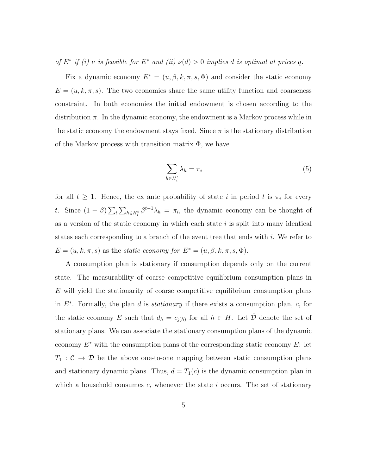of  $E^*$  if (i)  $\nu$  is feasible for  $E^*$  and (ii)  $\nu(d) > 0$  implies d is optimal at prices q.

Fix a dynamic economy  $E^* = (u, \beta, k, \pi, s, \Phi)$  and consider the static economy  $E = (u, k, \pi, s)$ . The two economies share the same utility function and coarseness constraint. In both economies the initial endowment is chosen according to the distribution  $\pi$ . In the dynamic economy, the endowment is a Markov process while in the static economy the endowment stays fixed. Since  $\pi$  is the stationary distribution of the Markov process with transition matrix  $\Phi$ , we have

<span id="page-4-0"></span>
$$
\sum_{h \in H_i^t} \lambda_h = \pi_i \tag{5}
$$

for all  $t \geq 1$ . Hence, the ex ante probability of state i in period t is  $\pi_i$  for every t. Since  $(1 - \beta) \sum_{t} \sum_{h \in H_i^t} \beta^{t-1} \lambda_h = \pi_i$ , the dynamic economy can be thought of as a version of the static economy in which each state  $i$  is split into many identical states each corresponding to a branch of the event tree that ends with  $i$ . We refer to  $E = (u, k, \pi, s)$  as the *static economy for*  $E^* = (u, \beta, k, \pi, s, \Phi)$ .

A consumption plan is stationary if consumption depends only on the current state. The measurability of coarse competitive equilibrium consumption plans in E will yield the stationarity of coarse competitive equilibrium consumption plans in  $E^*$ . Formally, the plan d is *stationary* if there exists a consumption plan, c, for the static economy E such that  $d_h = c_{\jmath(h)}$  for all  $h \in H$ . Let  $\bar{\mathcal{D}}$  denote the set of stationary plans. We can associate the stationary consumption plans of the dynamic economy  $E^*$  with the consumption plans of the corresponding static economy  $E$ : let  $T_1: \mathcal{C} \to \bar{\mathcal{D}}$  be the above one-to-one mapping between static consumption plans and stationary dynamic plans. Thus,  $d = T_1(c)$  is the dynamic consumption plan in which a household consumes  $c_i$  whenever the state i occurs. The set of stationary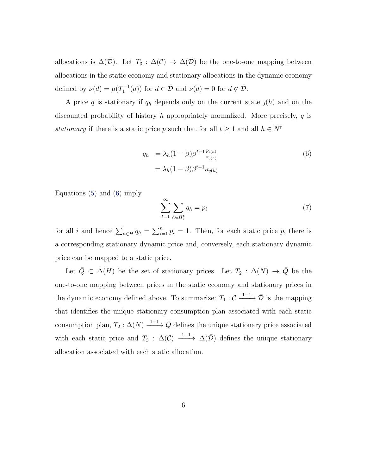allocations is  $\Delta(\overline{\mathcal{D}})$ . Let  $T_3$ :  $\Delta(\mathcal{C}) \rightarrow \Delta(\overline{\mathcal{D}})$  be the one-to-one mapping between allocations in the static economy and stationary allocations in the dynamic economy defined by  $\nu(d) = \mu(T_1^{-1}(d))$  for  $d \in \overline{\mathcal{D}}$  and  $\nu(d) = 0$  for  $d \notin \overline{\mathcal{D}}$ .

A price q is stationary if  $q_h$  depends only on the current state  $\jmath(h)$  and on the discounted probability of history h appropriately normalized. More precisely,  $q$  is stationary if there is a static price p such that for all  $t \geq 1$  and all  $h \in N^t$ 

<span id="page-5-0"></span>
$$
q_h = \lambda_h (1 - \beta) \beta^{t-1} \frac{p_{j(h)}}{\pi_{j(h)}}
$$
  
=  $\lambda_h (1 - \beta) \beta^{t-1} \kappa_{j(h)}$  (6)

Equations [\(5\)](#page-4-0) and [\(6\)](#page-5-0) imply

<span id="page-5-1"></span>
$$
\sum_{t=1}^{\infty} \sum_{h \in H_i^t} q_h = p_i \tag{7}
$$

for all i and hence  $\sum_{h\in H} q_h = \sum_{i=1}^n p_i = 1$ . Then, for each static price p, there is a corresponding stationary dynamic price and, conversely, each stationary dynamic price can be mapped to a static price.

Let  $\overline{Q} \subset \Delta(H)$  be the set of stationary prices. Let  $T_2 : \Delta(N) \rightarrow \overline{Q}$  be the one-to-one mapping between prices in the static economy and stationary prices in the dynamic economy defined above. To summarize:  $T_1: \mathcal{C} \xrightarrow{1-1} \bar{\mathcal{D}}$  is the mapping that identifies the unique stationary consumption plan associated with each static consumption plan,  $T_2: \Delta(N) \xrightarrow{1-1} \bar{Q}$  defines the unique stationary price associated with each static price and  $T_3$ :  $\Delta(C) \longrightarrow \Delta(\bar{\mathcal{D}})$  defines the unique stationary allocation associated with each static allocation.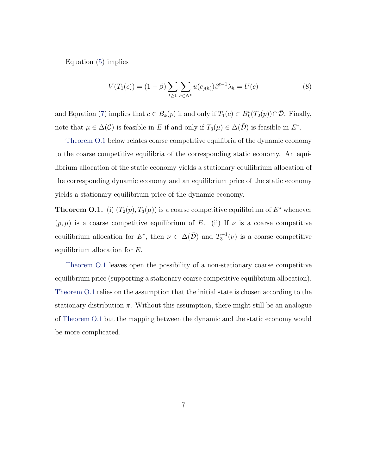Equation [\(5\)](#page-4-0) implies

$$
V(T_1(c)) = (1 - \beta) \sum_{t \ge 1} \sum_{h \in N^t} u(c_{j(h)}) \beta^{t-1} \lambda_h = U(c)
$$
 (8)

and Equation [\(7\)](#page-5-1) implies that  $c \in B_k(p)$  if and only if  $T_1(c) \in B_k^*(T_2(p)) \cap \overline{\mathcal{D}}$ . Finally, note that  $\mu \in \Delta(\mathcal{C})$  is feasible in E if and only if  $T_3(\mu) \in \Delta(\overline{\mathcal{D}})$  is feasible in  $E^*$ .

[Theorem O.1](#page-6-0) below relates coarse competitive equilibria of the dynamic economy to the coarse competitive equilibria of the corresponding static economy. An equilibrium allocation of the static economy yields a stationary equilibrium allocation of the corresponding dynamic economy and an equilibrium price of the static economy yields a stationary equilibrium price of the dynamic economy.

<span id="page-6-0"></span>**Theorem O.1.** (i)  $(T_2(p), T_3(\mu))$  is a coarse competitive equilibrium of  $E^*$  whenever  $(p,\mu)$  is a coarse competitive equilibrium of E. (ii) If  $\nu$  is a coarse competitive equilibrium allocation for  $E^*$ , then  $\nu \in \Delta(\bar{\mathcal{D}})$  and  $T_3^{-1}(\nu)$  is a coarse competitive equilibrium allocation for E.

[Theorem O.1](#page-6-0) leaves open the possibility of a non-stationary coarse competitive equilibrium price (supporting a stationary coarse competitive equilibrium allocation). [Theorem O.1](#page-6-0) relies on the assumption that the initial state is chosen according to the stationary distribution  $\pi$ . Without this assumption, there might still be an analogue of [Theorem O.1](#page-6-0) but the mapping between the dynamic and the static economy would be more complicated.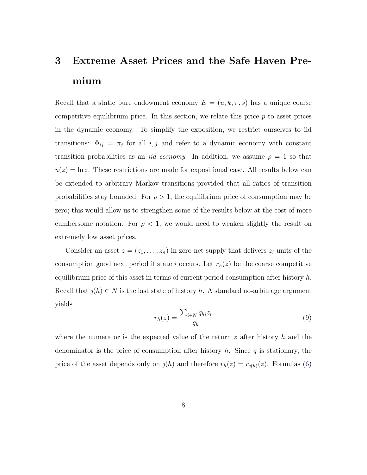## 3 Extreme Asset Prices and the Safe Haven Premium

Recall that a static pure endowment economy  $E = (u, k, \pi, s)$  has a unique coarse competitive equilibrium price. In this section, we relate this price  $p$  to asset prices in the dynamic economy. To simplify the exposition, we restrict ourselves to iid transitions:  $\Phi_{ij} = \pi_j$  for all i, j and refer to a dynamic economy with constant transition probabilities as an *iid economy*. In addition, we assume  $\rho = 1$  so that  $u(z) = \ln z$ . These restrictions are made for expositional ease. All results below can be extended to arbitrary Markov transitions provided that all ratios of transition probabilities stay bounded. For  $\rho > 1$ , the equilibrium price of consumption may be zero; this would allow us to strengthen some of the results below at the cost of more cumbersome notation. For  $\rho < 1$ , we would need to weaken slightly the result on extremely low asset prices.

Consider an asset  $z = (z_1, \ldots, z_n)$  in zero net supply that delivers  $z_i$  units of the consumption good next period if state i occurs. Let  $r_h(z)$  be the coarse competitive equilibrium price of this asset in terms of current period consumption after history  $h$ . Recall that  $j(h) \in N$  is the last state of history h. A standard no-arbitrage argument yields

<span id="page-7-0"></span>
$$
r_h(z) = \frac{\sum_{i \in N} q_{hi} z_i}{q_h} \tag{9}
$$

where the numerator is the expected value of the return  $z$  after history h and the denominator is the price of consumption after history h. Since q is stationary, the price of the asset depends only on  $j(h)$  and therefore  $r_h(z) = r_{j(h)}(z)$ . Formulas [\(6\)](#page-5-0)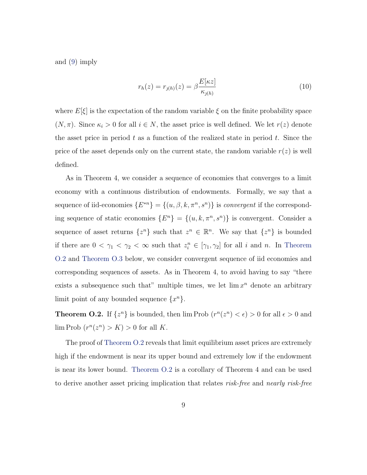and [\(9\)](#page-7-0) imply

<span id="page-8-1"></span>
$$
r_h(z) = r_{j(h)}(z) = \beta \frac{E[\kappa z]}{\kappa_{j(h)}}\tag{10}
$$

where  $E[\xi]$  is the expectation of the random variable  $\xi$  on the finite probability space  $(N, \pi)$ . Since  $\kappa_i > 0$  for all  $i \in N$ , the asset price is well defined. We let  $r(z)$  denote the asset price in period  $t$  as a function of the realized state in period  $t$ . Since the price of the asset depends only on the current state, the random variable  $r(z)$  is well defined.

As in Theorem 4, we consider a sequence of economies that converges to a limit economy with a continuous distribution of endowments. Formally, we say that a sequence of iid-economies  $\{E^{*n}\} = \{(u, \beta, k, \pi^n, s^n)\}\$ is *convergent* if the corresponding sequence of static economies  $\{E^n\} = \{(u, k, \pi^n, s^n)\}\$ is convergent. Consider a sequence of asset returns  $\{z^n\}$  such that  $z^n \in \mathbb{R}^n$ . We say that  $\{z^n\}$  is bounded if there are  $0 < \gamma_1 < \gamma_2 < \infty$  such that  $z_i^n \in [\gamma_1, \gamma_2]$  for all i and n. In [Theorem](#page-8-0) [O.2](#page-8-0) and [Theorem O.3](#page-9-0) below, we consider convergent sequence of iid economies and corresponding sequences of assets. As in Theorem 4, to avoid having to say "there exists a subsequence such that" multiple times, we let  $\lim x^n$  denote an arbitrary limit point of any bounded sequence  $\{x^n\}.$ 

<span id="page-8-0"></span>**Theorem O.2.** If  $\{z^n\}$  is bounded, then  $\lim \text{Prob}(r^n(z^n) < \epsilon) > 0$  for all  $\epsilon > 0$  and  $\lim \mathrm{Prob}(r^n(z^n) > K) > 0$  for all K.

The proof of [Theorem O.2](#page-8-0) reveals that limit equilibrium asset prices are extremely high if the endowment is near its upper bound and extremely low if the endowment is near its lower bound. [Theorem O.2](#page-8-0) is a corollary of Theorem 4 and can be used to derive another asset pricing implication that relates risk-free and nearly risk-free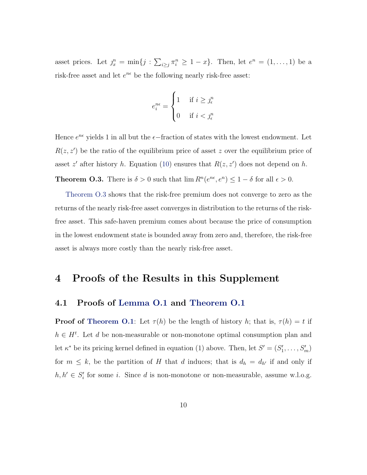asset prices. Let  $j_x^n = \min\{j : \sum_{i \geq j} \pi_i^n \geq 1 - x\}$ . Then, let  $e^n = (1, \ldots, 1)$  be a risk-free asset and let  $e^{n\epsilon}$  be the following nearly risk-free asset:

$$
e_i^{n\epsilon} = \begin{cases} 1 & \text{if } i \ge j_\epsilon^n \\ 0 & \text{if } i < j_\epsilon^n \end{cases}
$$

Hence  $e^{n\epsilon}$  yields 1 in all but the  $\epsilon$ -fraction of states with the lowest endowment. Let  $R(z, z')$  be the ratio of the equilibrium price of asset z over the equilibrium price of asset z' after history h. Equation [\(10\)](#page-8-1) ensures that  $R(z, z')$  does not depend on h. **Theorem O.3.** There is  $\delta > 0$  such that  $\lim R^n(e^{n\epsilon}, e^n) \leq 1 - \delta$  for all  $\epsilon > 0$ .

<span id="page-9-0"></span>[Theorem O.3](#page-9-0) shows that the risk-free premium does not converge to zero as the returns of the nearly risk-free asset converges in distribution to the returns of the riskfree asset. This safe-haven premium comes about because the price of consumption in the lowest endowment state is bounded away from zero and, therefore, the risk-free asset is always more costly than the nearly risk-free asset.

### 4 Proofs of the Results in this Supplement

#### 4.1 Proofs of [Lemma O.1](#page-2-0) and [Theorem O.1](#page-6-0)

**Proof of [Theorem O.1](#page-2-0)**: Let  $\tau(h)$  be the length of history h; that is,  $\tau(h) = t$  if  $h \in H^t$ . Let d be non-measurable or non-monotone optimal consumption plan and let  $\kappa^*$  be its pricing kernel defined in equation (1) above. Then, let  $S' = (S'_1, \ldots, S'_m)$ for  $m \leq k$ , be the partition of H that d induces; that is  $d_h = d_{h'}$  if and only if  $h, h' \in S'_{i}$  for some i. Since d is non-monotone or non-measurable, assume w.l.o.g.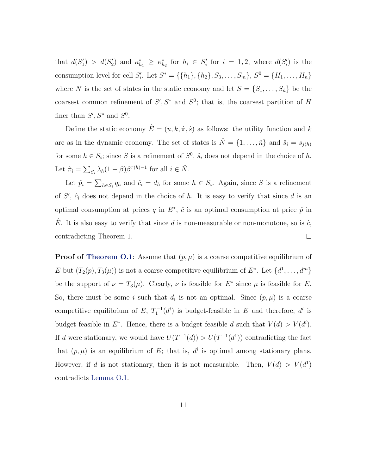that  $d(S'_1) > d(S'_2)$  and  $\kappa_{h_1}^* \geq \kappa_{h_2}^*$  for  $h_i \in S'_i$  for  $i = 1, 2$ , where  $d(S'_i)$  is the consumption level for cell  $S'_i$ . Let  $S^* = \{\{h_1\}, \{h_2\}, S_3, \ldots, S_m\}, S^0 = \{H_1, \ldots, H_n\}$ where N is the set of states in the static economy and let  $S = \{S_1, \ldots, S_{\hat{n}}\}$  be the coarsest common refinement of  $S', S^*$  and  $S^0$ ; that is, the coarsest partition of H finer than  $S', S^*$  and  $S^0$ .

Define the static economy  $\hat{E} = (u, k, \hat{\pi}, \hat{s})$  as follows: the utility function and k are as in the dynamic economy. The set of states is  $\hat{N} = \{1, \ldots, \hat{n}\}\$ and  $\hat{s}_i = s_{j(h)}$ for some  $h \in S_i$ ; since S is a refinement of  $S^0$ ,  $\hat{s}_i$  does not depend in the choice of h. Let  $\hat{\pi}_i = \sum_{S_i} \lambda_h (1 - \beta) \beta^{\tau(h)-1}$  for all  $i \in \hat{N}$ .

Let  $\hat{p}_i = \sum_{h \in S_i} q_h$  and  $\hat{c}_i = d_h$  for some  $h \in S_i$ . Again, since S is a refinement of  $S'$ ,  $\hat{c}_i$  does not depend in the choice of h. It is easy to verify that since d is an optimal consumption at prices q in  $E^*$ ,  $\hat{c}$  is an optimal consumption at price  $\hat{p}$  in E. It is also easy to verify that since d is non-measurable or non-monotone, so is  $\hat{c}$ , contradicting Theorem 1.  $\Box$ 

**Proof of [Theorem O.1](#page-6-0)**: Assume that  $(p, \mu)$  is a coarse competitive equilibrium of E but  $(T_2(p), T_3(\mu))$  is not a coarse competitive equilibrium of  $E^*$ . Let  $\{d^1, \ldots, d^m\}$ be the support of  $\nu = T_3(\mu)$ . Clearly,  $\nu$  is feasible for  $E^*$  since  $\mu$  is feasible for E. So, there must be some i such that  $d_i$  is not an optimal. Since  $(p, \mu)$  is a coarse competitive equilibrium of E,  $T_1^{-1}(d^i)$  is budget-feasible in E and therefore,  $d^i$  is budget feasible in  $E^*$ . Hence, there is a budget feasible d such that  $V(d) > V(d^i)$ . If d were stationary, we would have  $U(T^{-1}(d)) > U(T^{-1}(d^1))$  contradicting the fact that  $(p, \mu)$  is an equilibrium of E; that is,  $d^i$  is optimal among stationary plans. However, if d is not stationary, then it is not measurable. Then,  $V(d) > V(d^1)$ contradicts [Lemma O.1.](#page-2-0)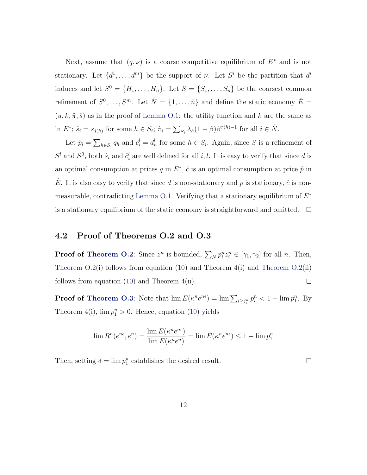Next, assume that  $(q, \nu)$  is a coarse competitive equilibrium of  $E^*$  and is not stationary. Let  $\{d^1, \ldots, d^m\}$  be the support of  $\nu$ . Let  $S^i$  be the partition that  $d^i$ induces and let  $S^0 = \{H_1, \ldots, H_n\}$ . Let  $S = \{S_1, \ldots, S_n\}$  be the coarsest common refinement of  $S^0, \ldots, S^m$ . Let  $\hat{N} = \{1, \ldots, \hat{n}\}\$ and define the static economy  $\hat{E} =$  $(u, k, \hat{\pi}, \hat{s})$  as in the proof of [Lemma O.1:](#page-2-0) the utility function and k are the same as in  $E^*$ ;  $\hat{s}_i = s_{j(h)}$  for some  $h \in S_i$ ;  $\hat{\pi}_i = \sum_{S_i} \lambda_h (1 - \beta) \beta^{\tau(h)-1}$  for all  $i \in \hat{N}$ .

Let  $\hat{p}_i = \sum_{h \in S_i} q_h$  and  $\hat{c}_i^l = d_h^l$  for some  $h \in S_i$ . Again, since S is a refinement of  $S^l$  and  $S^0$ , both  $\hat{s}_i$  and  $\hat{c}_i^l$  are well defined for all i, l. It is easy to verify that since d is an optimal consumption at prices q in  $E^*$ ,  $\hat{c}$  is an optimal consumption at price  $\hat{p}$  in  $\hat{E}$ . It is also easy to verify that since d is non-stationary and p is stationary,  $\hat{c}$  is non-measurable, contradicting [Lemma O.1.](#page-2-0) Verifying that a stationary equilibrium of  $E^*$ is a stationary equilibrium of the static economy is straightforward and omitted.  $\Box$ 

#### 4.2 Proof of Theorems O.2 and O.3

**Proof of [Theorem O.2](#page-8-0)**: Since  $z^n$  is bounded,  $\sum_N p_i^n z_i^n \in [\gamma_1, \gamma_2]$  for all n. Then, Theorem  $O.2(i)$  follows from equation [\(10\)](#page-8-1) and Theorem  $4(i)$  and Theorem  $O.2(ii)$ follows from equation [\(10\)](#page-8-1) and Theorem 4(ii).  $\Box$ 

**Proof of [Theorem O.3](#page-9-0)**: Note that  $\lim E(\kappa^n e^{n\epsilon}) = \lim \sum_{i \ge j_\epsilon^n} p_i^n < 1 - \lim p_1^n$ . By Theorem 4(i),  $\lim p_1^n > 0$ . Hence, equation [\(10\)](#page-8-1) yields

$$
\lim R^{n}(e^{n\epsilon}, e^{n}) = \frac{\lim E(\kappa^{n}e^{n\epsilon})}{\lim E(\kappa^{n}e^{n})} = \lim E(\kappa^{n}e^{n\epsilon}) \le 1 - \lim p_{1}^{n}
$$

Then, setting  $\delta = \lim p_1^n$  establishes the desired result.

 $\Box$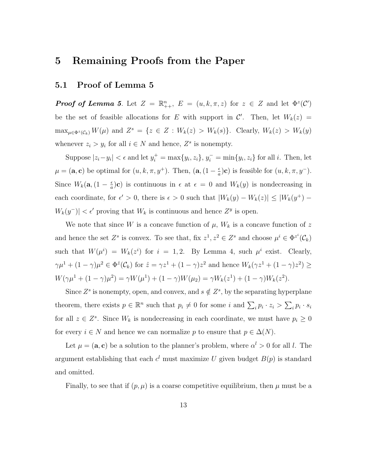## 5 Remaining Proofs from the Paper

#### 5.1 Proof of Lemma 5

**Proof of Lemma 5.** Let  $Z = \mathbb{R}_{++}^n$ ,  $E = (u, k, \pi, z)$  for  $z \in Z$  and let  $\Phi^z(\mathcal{C}')$ be the set of feasible allocations for E with support in  $\mathcal{C}'$ . Then, let  $W_k(z)$  =  $\max_{\mu \in \Phi^z(\mathcal{C}_k)} W(\mu)$  and  $Z^s = \{z \in Z : W_k(z) > W_k(s)\}.$  Clearly,  $W_k(z) > W_k(y)$ whenever  $z_i > y_i$  for all  $i \in N$  and hence,  $Z^s$  is nonempty.

Suppose  $|z_i - y_i| < \epsilon$  and let  $y_i^+ = \max\{y_i, z_i\}, y_i^- = \min\{y_i, z_i\}$  for all i. Then, let  $\mu = (\mathbf{a}, \mathbf{c})$  be optimal for  $(u, k, \pi, y^+)$ . Then,  $(\mathbf{a}, (1 - \frac{\epsilon}{a}))$  $\frac{\epsilon}{a}$ )**c**) is feasible for  $(u, k, \pi, y^{-})$ . Since  $W_k(\mathbf{a},(1-\frac{\epsilon}{a}))$  $\frac{\epsilon}{a}$ )**c**) is continuous in  $\epsilon$  at  $\epsilon = 0$  and  $W_k(y)$  is nondecreasing in each coordinate, for  $\epsilon' > 0$ , there is  $\epsilon > 0$  such that  $|W_k(y) - W_k(z)| \leq |W_k(y^+) - W_k(z)|$  $|W_k(y^-)| < \epsilon'$  proving that  $W_k$  is continuous and hence  $Z^y$  is open.

We note that since W is a concave function of  $\mu$ ,  $W_k$  is a concave function of z and hence the set  $Z^s$  is convex. To see that, fix  $z^1, z^2 \in Z^s$  and choose  $\mu^i \in \Phi^{z^i}(\mathcal{C}_k)$ such that  $W(\mu^{i}) = W_{k}(z^{i})$  for  $i = 1, 2$ . By Lemma 4, such  $\mu^{i}$  exist. Clearly,  $\gamma\mu^{1} + (1 - \gamma)\mu^{2} \in \Phi^{\hat{z}}(\mathcal{C}_{k})$  for  $\hat{z} = \gamma z^{1} + (1 - \gamma)z^{2}$  and hence  $W_{k}(\gamma z^{1} + (1 - \gamma)z^{2}) \ge$  $W(\gamma\mu^{1} + (1 - \gamma)\mu^{2}) = \gamma W(\mu^{1}) + (1 - \gamma)W(\mu_{2}) = \gamma W_{k}(z^{1}) + (1 - \gamma)W_{k}(z^{2}).$ 

Since  $Z^s$  is nonempty, open, and convex, and  $s \notin Z^s$ , by the separating hyperplane theorem, there exists  $p \in \mathbb{R}^n$  such that  $p_i \neq 0$  for some i and  $\sum_i p_i \cdot z_i > \sum_i p_i \cdot s_i$ for all  $z \in Z^s$ . Since  $W_k$  is nondecreasing in each coordinate, we must have  $p_i \geq 0$ for every  $i \in N$  and hence we can normalize p to ensure that  $p \in \Delta(N)$ .

Let  $\mu = (\mathbf{a}, \mathbf{c})$  be a solution to the planner's problem, where  $\alpha^l > 0$  for all l. The argument establishing that each  $c<sup>l</sup>$  must maximize U given budget  $B(p)$  is standard and omitted.

Finally, to see that if  $(p, \mu)$  is a coarse competitive equilibrium, then  $\mu$  must be a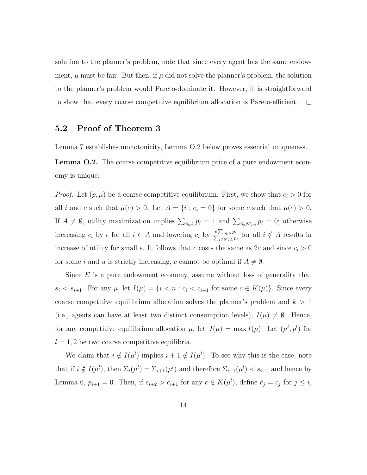solution to the planner's problem, note that since every agent has the same endowment,  $\mu$  must be fair. But then, if  $\mu$  did not solve the planner's problem, the solution to the planner's problem would Pareto-dominate it. However, it is straightforward to show that every coarse competitive equilibrium allocation is Pareto-efficient.  $\Box$ 

#### 5.2 Proof of Theorem 3

<span id="page-13-0"></span>Lemma 7 establishes monotonicity, Lemma O[.2](#page-13-0) below proves essential uniqueness.

Lemma O.2. The coarse competitive equilibrium price of a pure endowment economy is unique.

*Proof.* Let  $(p, \mu)$  be a coarse competitive equilibrium. First, we show that  $c_i > 0$  for all i and c such that  $\mu(c) > 0$ . Let  $A = \{i : c_i = 0\}$  for some c such that  $\mu(c) > 0$ . If  $A \neq \emptyset$ , utility maximization implies  $\sum_{i \in A} p_i = 1$  and  $\sum_{i \in N \setminus A} p_i = 0$ ; otherwise increasing  $c_i$  by  $\epsilon$  for all  $i \in A$  and lowering  $c_i$  by  $\frac{\epsilon \sum_{i\in A} p_i}{\sum_{i\in N\setminus A} p_i}$  for all  $i \notin A$  results in increase of utility for small  $\epsilon$ . It follows that c costs the same as 2c and since  $c_i > 0$ for some i and u is strictly increasing, c cannot be optimal if  $A \neq \emptyset$ .

Since  $E$  is a pure endowment economy, assume without loss of generality that  $s_i < s_{i+1}$ . For any  $\mu$ , let  $I(\mu) = \{i < n : c_i < c_{i+1}$  for some  $c \in K(\mu)\}$ . Since every coarse competitive equilibrium allocation solves the planner's problem and  $k > 1$ (i.e., agents can have at least two distinct consumption levels),  $I(\mu) \neq \emptyset$ . Hence, for any competitive equilibrium allocation  $\mu$ , let  $J(\mu) = \max I(\mu)$ . Let  $(\mu^l, p^l)$  for  $l = 1, 2$  be two coarse competitive equilibria.

We claim that  $i \notin I(\mu^{l})$  implies  $i + 1 \notin I(\mu^{l})$ . To see why this is the case, note that if  $i \notin I(\mu^l)$ , then  $\Sigma_i(\mu^l) = \Sigma_{i+1}(\mu^l)$  and therefore  $\Sigma_{i+1}(\mu^l) < s_{i+1}$  and hence by Lemma 6,  $p_{i+1} = 0$ . Then, if  $c_{i+2} > c_{i+1}$  for any  $c \in K(\mu^l)$ , define  $\hat{c}_j = c_j$  for  $j \leq i$ ,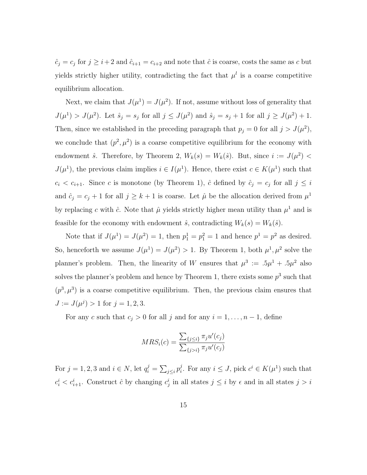$\hat{c}_j = c_j$  for  $j \geq i+2$  and  $\hat{c}_{i+1} = c_{i+2}$  and note that  $\hat{c}$  is coarse, costs the same as c but yields strictly higher utility, contradicting the fact that  $\mu^{l}$  is a coarse competitive equilibrium allocation.

Next, we claim that  $J(\mu^1) = J(\mu^2)$ . If not, assume without loss of generality that  $J(\mu^{1}) > J(\mu^{2})$ . Let  $\hat{s}_{j} = s_{j}$  for all  $j \leq J(\mu^{2})$  and  $\hat{s}_{j} = s_{j} + 1$  for all  $j \geq J(\mu^{2}) + 1$ . Then, since we established in the preceding paragraph that  $p_j = 0$  for all  $j > J(\mu^2)$ , we conclude that  $(p^2, \mu^2)$  is a coarse competitive equilibrium for the economy with endowment  $\hat{s}$ . Therefore, by Theorem 2,  $W_k(s) = W_k(\hat{s})$ . But, since  $i := J(\mu^2)$  $J(\mu^1)$ , the previous claim implies  $i \in I(\mu^1)$ . Hence, there exist  $c \in K(\mu^1)$  such that  $c_i < c_{i+1}$ . Since c is monotone (by Theorem 1),  $\hat{c}$  defined by  $\hat{c}_j = c_j$  for all  $j \leq i$ and  $\hat{c}_j = c_j + 1$  for all  $j \geq k + 1$  is coarse. Let  $\hat{\mu}$  be the allocation derived from  $\mu^1$ by replacing c with  $\hat{c}$ . Note that  $\hat{\mu}$  yields strictly higher mean utility than  $\mu^1$  and is feasible for the economy with endowment  $\hat{s}$ , contradicting  $W_k(s) = W_k(\hat{s})$ .

Note that if  $J(\mu^1) = J(\mu^2) = 1$ , then  $p_1^1 = p_1^2 = 1$  and hence  $p^1 = p^2$  as desired. So, henceforth we assume  $J(\mu^1) = J(\mu^2) > 1$ . By Theorem 1, both  $\mu^1, \mu^2$  solve the planner's problem. Then, the linearity of W ensures that  $\mu^3 := .5\mu^1 + .5\mu^2$  also solves the planner's problem and hence by Theorem 1, there exists some  $p^3$  such that  $(p^3, \mu^3)$  is a coarse competitive equilibrium. Then, the previous claim ensures that  $J := J(\mu^j) > 1$  for  $j = 1, 2, 3$ .

For any c such that  $c_j > 0$  for all j and for any  $i = 1, \ldots, n - 1$ , define

$$
MRS_i(c) = \frac{\sum_{\{j \le i\}} \pi_j u'(c_j)}{\sum_{\{j > i\}} \pi_j u'(c_j)}
$$

For  $j = 1, 2, 3$  and  $i \in N$ , let  $q_i^j = \sum_{j \leq i} p_i^j$ <sup>j</sup>. For any  $i \leq J$ , pick  $c^i \in K(\mu^1)$  such that  $c_i^i < c_{i+1}^i$ . Construct  $\hat{c}$  by changing  $c_j^i$  in all states  $j \leq i$  by  $\epsilon$  and in all states  $j > i$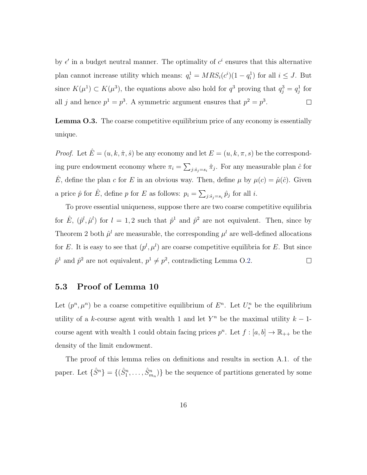by  $\epsilon'$  in a budget neutral manner. The optimality of  $c^i$  ensures that this alternative plan cannot increase utility which means:  $q_i^1 = MRS_i(c^i)(1 - q_i^1)$  for all  $i \leq J$ . But since  $K(\mu^1) \subset K(\mu^3)$ , the equations above also hold for  $q^3$  proving that  $q_j^3 = q_j^1$  for all j and hence  $p^1 = p^3$ . A symmetric argument ensures that  $p^2 = p^3$ .  $\Box$ 

Lemma O.3. The coarse competitive equilibrium price of any economy is essentially unique.

*Proof.* Let  $\hat{E} = (u, k, \hat{\pi}, \hat{s})$  be any economy and let  $E = (u, k, \pi, s)$  be the corresponding pure endowment economy where  $\pi_i = \sum_{j:\hat{s}_j=s_i} \hat{\pi}_j$ . For any measurable plan  $\hat{c}$  for  $\hat{E}$ , define the plan c for E in an obvious way. Then, define  $\mu$  by  $\mu(c) = \hat{\mu}(\hat{c})$ . Given a price  $\hat{p}$  for  $\hat{E}$ , define p for E as follows:  $p_i = \sum_{j:\hat{s}_j=s_i} \hat{p}_j$  for all i.

To prove essential uniqueness, suppose there are two coarse competitive equilibria for  $\hat{E}$ ,  $(\hat{p}^l, \hat{\mu}^l)$  for  $l = 1, 2$  such that  $\hat{p}^1$  and  $\hat{p}^2$  are not equivalent. Then, since by Theorem 2 both  $\hat{\mu}^l$  are measurable, the corresponding  $\mu^l$  are well-defined allocations for E. It is easy to see that  $(p^l, \mu^l)$  are coarse competitive equilibria for E. But since  $\hat{p}^1$  and  $\hat{p}^2$  are not equivalent,  $p^1 \neq p^2$ , contradicting Lemma O[.2.](#page-13-0)  $\Box$ 

#### 5.3 Proof of Lemma 10

Let  $(p^n, \mu^n)$  be a coarse competitive equilibrium of  $E^n$ . Let  $U_*^n$  be the equilibrium utility of a k-course agent with wealth 1 and let  $Y<sup>n</sup>$  be the maximal utility  $k-1$ course agent with wealth 1 could obtain facing prices  $p^n$ . Let  $f : [a, b] \to \mathbb{R}_{++}$  be the density of the limit endowment.

The proof of this lemma relies on definitions and results in section A.1. of the paper. Let  $\{\hat{S}^n\} = \{(\hat{S}^n_1, \ldots, \hat{S}^n_{m_n})\}$  be the sequence of partitions generated by some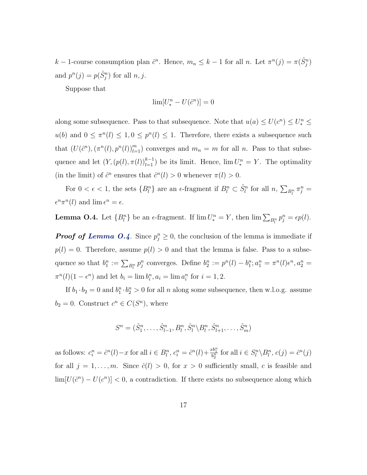k – 1-course consumption plan  $\hat{c}^n$ . Hence,  $m_n \leq k-1$  for all n. Let  $\pi^n(j) = \pi(\hat{S}^n_j)$ and  $p^n(j) = p(\hat{S}_j^n)$  for all  $n, j$ .

Suppose that

$$
\lim [U_*^n - U(\hat{c}^n)] = 0
$$

along some subsequence. Pass to that subsequence. Note that  $u(a) \le U(c^n) \le U_*^n \le$  $u(b)$  and  $0 \leq \pi^{n}(l) \leq 1, 0 \leq p^{n}(l) \leq 1$ . Therefore, there exists a subsequence such that  $(U(\hat{c}^n),(\pi^n(l),p^n(l))_{l=1}^m)$  converges and  $m_n = m$  for all n. Pass to that subsequence and let  $(Y, (p(l), \pi(l))_{l=1}^{k-1})$  be its limit. Hence,  $\lim U_*^n = Y$ . The optimality (in the limit) of  $\hat{c}^n$  ensures that  $\hat{c}^n(l) > 0$  whenever  $\pi(l) > 0$ .

For  $0 < \epsilon < 1$ , the sets  $\{B_l^n\}$  are an  $\epsilon$ -fragment if  $B_l^n \subset \hat{S}_l^n$  for all  $n, \sum_{B_l^n} \pi_j^n =$  $\epsilon^n \pi^n(l)$  and  $\lim \epsilon^n = \epsilon$ .

<span id="page-16-0"></span>**Lemma O.4.** Let  ${B^n_l}$  be an  $\epsilon$ -fragment. If  $\lim U_*^n = Y$ , then  $\lim \sum_{B^n_l} p^n_j = \epsilon p(l)$ .

**Proof of [Lemma O.4](#page-16-0).** Since  $p_j^n \geq 0$ , the conclusion of the lemma is immediate if  $p(l) = 0$ . Therefore, assume  $p(l) > 0$  and that the lemma is false. Pass to a subsequence so that  $b_1^n := \sum_{B_l^n} p_j^n$  converges. Define  $b_2^n := p^n(l) - b_1^n; a_1^n = \pi^n(l)\epsilon^n, a_2^n =$  $\pi^{n}(l)(1 - \epsilon^{n})$  and let  $b_{i} = \lim b_{i}^{n}, a_{i} = \lim a_{i}^{n}$  for  $i = 1, 2$ .

If  $b_1 \cdot b_2 = 0$  and  $b_1^n \cdot b_2^n > 0$  for all n along some subsequence, then w.l.o.g. assume  $b_2 = 0$ . Construct  $c^n \in C(S^n)$ , where

$$
S^n = (\hat{S}_1^n, \dots, \hat{S}_{l-1}^n, B_l^n, \hat{S}_l^n \backslash B_l^n, \hat{S}_{l+1}^n, \dots, \hat{S}_m^n)
$$

as follows:  $c_i^n = \hat{c}^n(l) - x$  for all  $i \in B_l^n$ ,  $c_i^n = \hat{c}^n(l) + \frac{xb_1^n}{b_2^n}$  for all  $i \in S_l^n \setminus B_l^n$ ,  $c(j) = \hat{c}^n(j)$ for all  $j = 1, \ldots, m$ . Since  $\hat{c}(l) > 0$ , for  $x > 0$  sufficiently small, c is feasible and  $\lim [U(\hat{c}^n) - U(c^n)] < 0$ , a contradiction. If there exists no subsequence along which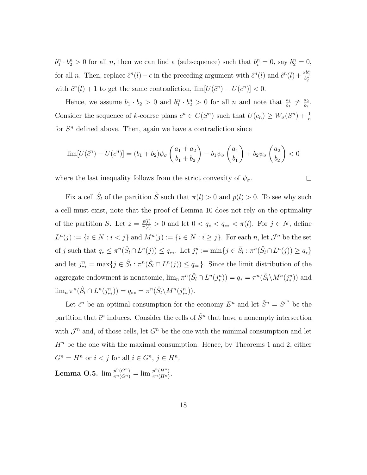$b_1^n \cdot b_2^n > 0$  for all n, then we can find a (subsequence) such that  $b_i^n = 0$ , say  $b_2^n = 0$ , for all *n*. Then, replace  $\hat{c}^n(l) - \epsilon$  in the preceding argument with  $\hat{c}^n(l)$  and  $\hat{c}^n(l) + \frac{x b_1^n}{b_2^n}$ with  $\hat{c}^n(l) + 1$  to get the same contradiction,  $\lim [U(\hat{c}^n) - U(c^n)] < 0$ .

Hence, we assume  $b_1 \cdot b_2 > 0$  and  $b_1^n \cdot b_2^n > 0$  for all n and note that  $\frac{a_1}{b_1} \neq \frac{a_2}{b_2}$  $\frac{a_2}{b_2}$ . Consider the sequence of k-coarse plans  $c^n \in C(S^n)$  such that  $U(c_n) \geq W_{\sigma}(S^n) + \frac{1}{n}$ for  $S<sup>n</sup>$  defined above. Then, again we have a contradiction since

$$
\lim [U(\hat{c}^n) - U(c^n)] = (b_1 + b_2)\psi_\sigma \left(\frac{a_1 + a_2}{b_1 + b_2}\right) - b_1\psi_\sigma \left(\frac{a_1}{b_1}\right) + b_2\psi_\sigma \left(\frac{a_2}{b_2}\right) < 0
$$

 $\Box$ 

where the last inequality follows from the strict convexity of  $\psi_{\sigma}$ .

Fix a cell  $\hat{S}_l$  of the partition  $\hat{S}$  such that  $\pi(l) > 0$  and  $p(l) > 0$ . To see why such a cell must exist, note that the proof of Lemma 10 does not rely on the optimality of the partition S. Let  $z = \frac{p(l)}{\pi(l)} > 0$  and let  $0 < q_* < q_{**} < \pi(l)$ . For  $j \in N$ , define  $L^{n}(j) := \{i \in N : i < j\}$  and  $M^{n}(j) := \{i \in N : i \geq j\}$ . For each n, let  $\mathcal{J}^{n}$  be the set of j such that  $q_* \leq \pi^n(\hat{S}_l \cap L^n(j)) \leq q_{**}$ . Let  $j_*^n := \min\{j \in \hat{S}_l : \pi^n(\hat{S}_l \cap L^n(j)) \geq q_*\}$ and let  $j_{**}^n = \max\{j \in \hat{S}_l : \pi^n(\hat{S}_l \cap L^n(j)) \leq q_{**}\}\.$  Since the limit distribution of the aggregate endowment is nonatomic,  $\lim_n \pi^n(\hat{S}_l \cap L^n(j_*^n)) = q_* = \pi^n(\hat{S}_l \setminus M^n(j_*^n))$  and  $\lim_{n} \pi^{n}(\hat{S}_{l} \cap L^{n}(j_{**}^{n})) = q_{**} = \pi^{n}(\hat{S}_{l} \backslash M^{n}(j_{**}^{n})).$ 

<span id="page-17-0"></span>Let  $\tilde{c}^n$  be an optimal consumption for the economy  $E^n$  and let  $\tilde{S}^n = S^{\tilde{c}^n}$  be the partition that  $\tilde{c}^n$  induces. Consider the cells of  $\tilde{S}^n$  that have a nonempty intersection with  $\mathcal{J}^n$  and, of those cells, let  $G^n$  be the one with the minimal consumption and let  $H<sup>n</sup>$  be the one with the maximal consumption. Hence, by Theorems 1 and 2, either  $G^n = H^n$  or  $i < j$  for all  $i \in G^n$ ,  $j \in H^n$ .  $\textbf{Lemma O.5.} \ \lim \frac{p^n(G^n)}{\pi^n(G^n)} = \lim \frac{p^n(H^n)}{\pi^n(H^n)}$  $\frac{p^{\ldots}(H^n)}{\pi^n(H^n)}$ .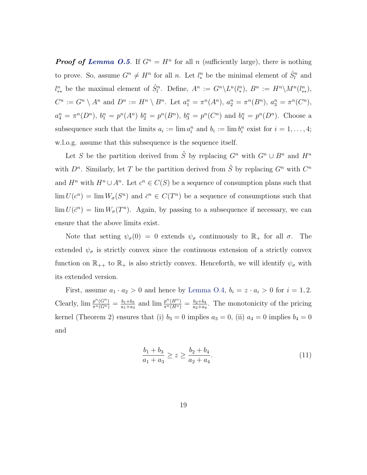**Proof of [Lemma O.5](#page-17-0).** If  $G^n = H^n$  for all n (sufficiently large), there is nothing to prove. So, assume  $G^n \neq H^n$  for all n. Let  $l_*^n$  be the minimal element of  $\hat{S}_l^n$  and  $l^n_{**}$  be the maximal element of  $\hat{S}_l^n$ . Define,  $A^n := G^n \backslash L^n(l^n_*)$ ,  $B^n := H^n \backslash M^n(l^n_{**})$ ,  $C^n := G^n \setminus A^n$  and  $D^n := H^n \setminus B^n$ . Let  $a_1^n = \pi^n(A^n)$ ,  $a_2^n = \pi^n(B^n)$ ,  $a_3^n = \pi^n(C^n)$ ,  $a_4^n = \pi^n(D^n)$ ,  $b_1^n = p^n(A^n)$   $b_2^n = p^n(B^n)$ ,  $b_3^n = p^n(C^n)$  and  $b_4^n = p^n(D^n)$ . Choose a subsequence such that the limits  $a_i := \lim a_i^n$  and  $b_i := \lim b_i^n$  exist for  $i = 1, \ldots, 4;$ w.l.o.g. assume that this subsequence is the sequence itself.

Let S be the partition derived from  $\tilde{S}$  by replacing  $G^n$  with  $G^n \cup B^n$  and  $H^n$ with  $D^n$ . Similarly, let T be the partition derived from  $\tilde{S}$  by replacing  $G^n$  with  $C^n$ and  $H^n$  with  $H^n \cup A^n$ . Let  $c^n \in C(S)$  be a sequence of consumption plans such that  $\lim U(c^n) = \lim W_{\sigma}(S^n)$  and  $\bar{c}^n \in C(T^n)$  be a sequence of consumptions such that  $\lim U(\bar{c}^n) = \lim W_{\sigma}(T^n)$ . Again, by passing to a subsequence if necessary, we can ensure that the above limits exist.

Note that setting  $\psi_{\sigma}(0) = 0$  extends  $\psi_{\sigma}$  continuously to  $\mathbb{R}_{+}$  for all  $\sigma$ . The extended  $\psi_{\sigma}$  is strictly convex since the continuous extension of a strictly convex function on  $\mathbb{R}_{++}$  to  $\mathbb{R}_+$  is also strictly convex. Henceforth, we will identify  $\psi_{\sigma}$  with its extended version.

First, assume  $a_1 \cdot a_2 > 0$  and hence by [Lemma O.4,](#page-16-0)  $b_i = z \cdot a_i > 0$  for  $i = 1, 2$ . Clearly,  $\lim \frac{p^n(G^n)}{\pi^n(G^n)} = \frac{b_1 + b_3}{a_1 + a_3}$  $\frac{b_1+b_3}{a_1+a_3}$  and  $\lim \frac{p^n(H^n)}{\pi^n(H^n)} = \frac{b_2+b_4}{a_2+a_4}$  $\frac{b_2+b_4}{a_2+a_4}$ . The monotonicity of the pricing kernel (Theorem 2) ensures that (i)  $b_3 = 0$  implies  $a_3 = 0$ , (ii)  $a_4 = 0$  implies  $b_4 = 0$ and

$$
\frac{b_1 + b_3}{a_1 + a_3} \ge z \ge \frac{b_2 + b_4}{a_2 + a_4}.\tag{11}
$$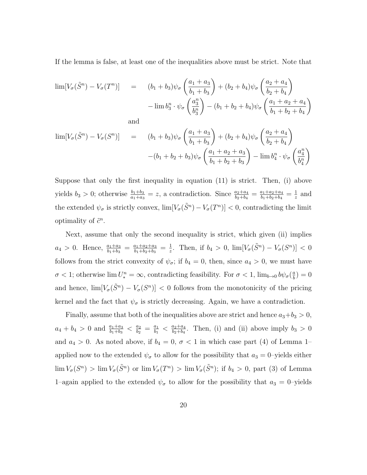If the lemma is false, at least one of the inequalities above must be strict. Note that

$$
\lim [V_{\sigma}(\tilde{S}^{n}) - V_{\sigma}(T^{n})] = (b_{1} + b_{3})\psi_{\sigma} \left(\frac{a_{1} + a_{3}}{b_{1} + b_{3}}\right) + (b_{2} + b_{4})\psi_{\sigma} \left(\frac{a_{2} + a_{4}}{b_{2} + b_{4}}\right)
$$

$$
- \lim b_{3}^{n} \cdot \psi_{\sigma} \left(\frac{a_{3}^{n}}{b_{3}^{n}}\right) - (b_{1} + b_{2} + b_{4})\psi_{\sigma} \left(\frac{a_{1} + a_{2} + a_{4}}{b_{1} + b_{2} + b_{4}}\right)
$$

and

$$
\lim [V_{\sigma}(\tilde{S}^{n}) - V_{\sigma}(S^{n})] = (b_{1} + b_{3})\psi_{\sigma} \left(\frac{a_{1} + a_{3}}{b_{1} + b_{3}}\right) + (b_{2} + b_{4})\psi_{\sigma} \left(\frac{a_{2} + a_{4}}{b_{2} + b_{4}}\right) -(b_{1} + b_{2} + b_{3})\psi_{\sigma} \left(\frac{a_{1} + a_{2} + a_{3}}{b_{1} + b_{2} + b_{3}}\right) - \lim b_{4}^{n} \cdot \psi_{\sigma} \left(\frac{a_{4}^{n}}{b_{4}^{n}}\right)
$$

Suppose that only the first inequality in equation (11) is strict. Then, (i) above yields  $b_3 > 0$ ; otherwise  $\frac{b_1 + b_3}{a_1 + a_3} = z$ , a contradiction. Since  $\frac{a_2 + a_4}{b_2 + b_4} = \frac{a_1 + a_2 + a_4}{b_1 + b_2 + b_4}$  $\frac{a_1+a_2+a_4}{b_1+b_2+b_4}=\frac{1}{z}$  $\frac{1}{z}$  and the extended  $\psi_{\sigma}$  is strictly convex,  $\lim [V_{\sigma}(\tilde{S}^n) - V_{\sigma}(T^n)] < 0$ , contradicting the limit optimality of  $\tilde{c}^n$ .

Next, assume that only the second inequality is strict, which given (ii) implies  $a_4 > 0$ . Hence,  $\frac{a_1 + a_3}{b_1 + b_3} = \frac{a_1 + a_2 + a_3}{b_1 + b_2 + b_3}$  $\frac{a_1+a_2+a_3}{b_1+b_2+b_3} = \frac{1}{z}$  $\frac{1}{z}$ . Then, if  $b_4 > 0$ ,  $\lim [V_{\sigma}(\tilde{S}^n) - V_{\sigma}(S^n)] < 0$ follows from the strict convexity of  $\psi_{\sigma}$ ; if  $b_4 = 0$ , then, since  $a_4 > 0$ , we must have  $\sigma$  < 1; otherwise  $\lim U_*^n = \infty$ , contradicting feasibility. For  $\sigma$  < 1,  $\lim_{b\to 0} b\psi_{\sigma}(\frac{a}{b})$  $\left(\frac{a}{b}\right) = 0$ and hence,  $\lim [V_{\sigma}(\tilde{S}^n) - V_{\sigma}(S^n)] < 0$  follows from the monotonicity of the pricing kernel and the fact that  $\psi_{\sigma}$  is strictly decreasing. Again, we have a contradiction.

Finally, assume that both of the inequalities above are strict and hence  $a_3+b_3 > 0$ ,  $a_4 + b_4 > 0$  and  $\frac{a_1 + a_3}{b_1 + b_3} < \frac{a_2}{b_2}$  $\frac{a_2}{b_2} = \frac{a_1}{b_1}$  $\frac{a_1}{b_1}$  <  $\frac{a_2+a_4}{b_2+b_4}$  $\frac{a_2+a_4}{b_2+b_4}$ . Then, (i) and (ii) above imply  $b_3 > 0$ and  $a_4 > 0$ . As noted above, if  $b_4 = 0$ ,  $\sigma < 1$  in which case part (4) of Lemma 1– applied now to the extended  $\psi_{\sigma}$  to allow for the possibility that  $a_3 = 0$ -yields either  $\lim V_{\sigma}(S^n) > \lim V_{\sigma}(\tilde{S}^n)$  or  $\lim V_{\sigma}(T^n) > \lim V_{\sigma}(\tilde{S}^n)$ ; if  $b_4 > 0$ , part (3) of Lemma 1–again applied to the extended  $\psi_{\sigma}$  to allow for the possibility that  $a_3 = 0$ –yields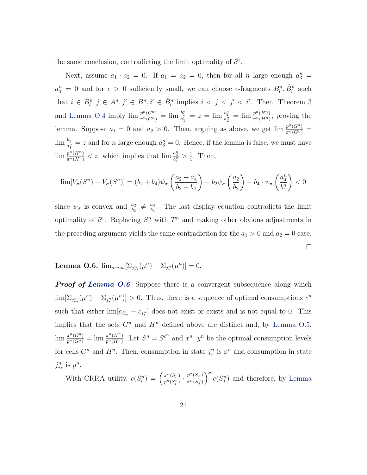the same conclusion, contradicting the limit optimality of  $\tilde{c}^n$ .

Next, assume  $a_1 \cdot a_2 = 0$ . If  $a_1 = a_2 = 0$ , then for all n large enough  $a_3^n =$  $a_4^n = 0$  and for  $\epsilon > 0$  sufficiently small, we can choose  $\epsilon$ -fragments  $B_l^n$ ,  $\hat{B}_l^n$  such that  $i \in B_l^n, j \in A^n, j' \in B_l^n, i' \in \hat{B}_l^n$  implies  $i < j < j' < i'$ . Then, Theorem 3 and [Lemma O.4](#page-16-0) imply  $\lim_{\pi^n(G^n)} \frac{p^n(G^n)}{\pi^n(G^n)} = \lim_{\frac{a_1^n}{a_1^n}} = z = \lim_{\frac{b_2^n}{a_2^n}} = \lim_{\frac{\pi^n(H^n)}{\pi^n(H^n)}}$  $\frac{p^{n}(H^n)}{\pi^n(H^n)}$ , proving the lemma. Suppose  $a_1 = 0$  and  $a_2 > 0$ . Then, arguing as above, we get  $\lim \frac{p^n(G^n)}{\pi^n(G^n)}$  $\lim_{a_1^n} \frac{b_1^n}{a_1^n} = z$  and for *n* large enough  $a_3^n = 0$ . Hence, if the lemma is false, we must have  $\lim_{\frac{m}{n}(H^n)} \frac{p^n(H^n)}{p^n} < z$ , which implies that  $\lim_{\frac{m}{b^n_4}} \frac{a^n_4}{b^n_4} > \frac{1}{z}$  $\frac{1}{z}$ . Then,

$$
\lim [V_{\sigma}(\tilde{S}^n) - V_{\sigma}(S^n)] = (b_2 + b_4)\psi_{\sigma}\left(\frac{a_2 + a_4}{b_2 + b_4}\right) - b_2\psi_{\sigma}\left(\frac{a_2}{b_2}\right) - b_4 \cdot \psi_{\sigma}\left(\frac{a_4^n}{b_4^n}\right) < 0
$$

since  $\psi_{\sigma}$  is convex and  $\frac{a_2}{b_2} \neq \frac{a_4}{b_4}$  $\frac{a_4}{b_4}$ . The last display equation contradicts the limit optimality of  $\tilde{c}^n$ . Replacing  $S^n$  with  $T^n$  and making other obvious adjustments in the preceding argument yields the same contradiction for the  $a_1 > 0$  and  $a_2 = 0$  case.  $\Box$ 

## <span id="page-20-0"></span>Lemma O.6.  $\lim_{n\to\infty} [\sum_{j_{**}^n} (\mu^n) - \sum_{j_*^n} (\mu^n)] = 0.$

**Proof of [Lemma O.6](#page-20-0).** Suppose there is a convergent subsequence along which  $\lim \left[\sum_{j_{**}^n} (\mu^n) - \sum_{j_*^n} (\mu^n)\right] > 0$ . Thus, there is a sequence of optimal consumptions  $c^n$ such that either  $\lim_{s \to \infty} [c_{j_{**}} - c_{j_*^n}]$  does not exist or exists and is not equal to 0. This implies that the sets  $G<sup>n</sup>$  and  $H<sup>n</sup>$  defined above are distinct and, by [Lemma O.5,](#page-17-0)  $\lim_{p^n(G^n)} \frac{\pi^n(G^n)}{p^n(H^n)} = \lim_{p^n(H^n)} \frac{\pi^n(H^n)}{p^n(H^n)}$  $\frac{\pi^n(H^n)}{p^n(H^n)}$ . Let  $S^n = S^{c^n}$  and  $x^n$ ,  $y^n$  be the optimal consumption levels for cells  $G^n$  and  $H^n$ . Then, consumption in state  $j^n_*$  is  $x^n$  and consumption in state  $j_{**}^n$  is  $y^n$ .

With CRRA utility,  $c(S_i^n) = \left(\frac{\pi^n(S_i^n)}{p^n(S_i^n)}\right)$  $\frac{\pi^n(S_i^n)}{p^n(S_i^n)}\cdot\frac{p^n(S_j^n)}{\pi^n(S_j^n)}$  $\frac{p^n(S_j^n)}{\pi^n(S_j^n)}$   $\Big)^\sigma$  c( $S_j^n$ ) and therefore, by [Lemma](#page-17-0)